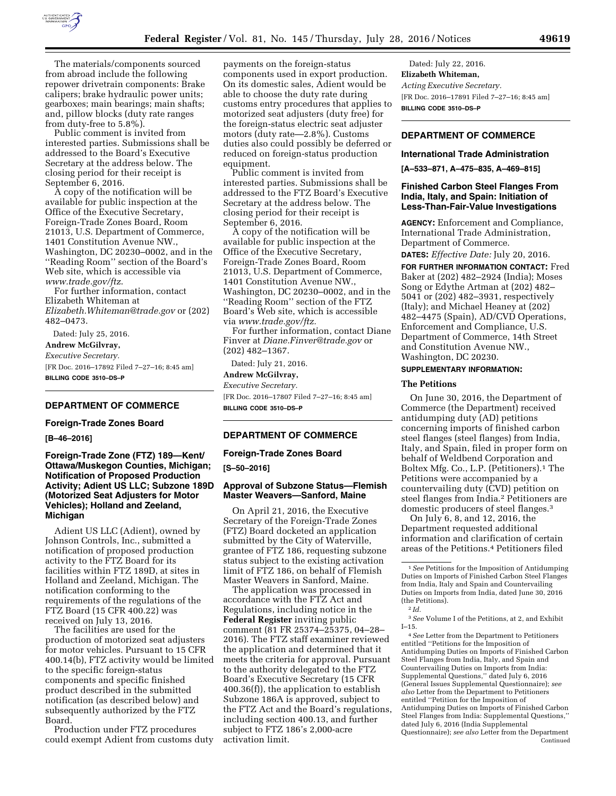

The materials/components sourced from abroad include the following repower drivetrain components: Brake calipers; brake hydraulic power units; gearboxes; main bearings; main shafts; and, pillow blocks (duty rate ranges from duty-free to 5.8%).

Public comment is invited from interested parties. Submissions shall be addressed to the Board's Executive Secretary at the address below. The closing period for their receipt is September 6, 2016.

A copy of the notification will be available for public inspection at the Office of the Executive Secretary, Foreign-Trade Zones Board, Room 21013, U.S. Department of Commerce, 1401 Constitution Avenue NW., Washington, DC 20230–0002, and in the ''Reading Room'' section of the Board's Web site, which is accessible via *[www.trade.gov/ftz](http://www.trade.gov/ftz)*.

For further information, contact Elizabeth Whiteman at *[Elizabeth.Whiteman@trade.gov](mailto:Elizabeth.Whiteman@trade.gov)* or (202) 482–0473.

Dated: July 25, 2016.

**Andrew McGilvray,** 

*Executive Secretary.* 

[FR Doc. 2016–17892 Filed 7–27–16; 8:45 am] **BILLING CODE 3510–DS–P** 

# **DEPARTMENT OF COMMERCE**

### **Foreign-Trade Zones Board**

**[B–46–2016]** 

# **Foreign-Trade Zone (FTZ) 189—Kent/ Ottawa/Muskegon Counties, Michigan; Notification of Proposed Production Activity; Adient US LLC; Subzone 189D (Motorized Seat Adjusters for Motor Vehicles); Holland and Zeeland, Michigan**

Adient US LLC (Adient), owned by Johnson Controls, Inc., submitted a notification of proposed production activity to the FTZ Board for its facilities within FTZ 189D, at sites in Holland and Zeeland, Michigan. The notification conforming to the requirements of the regulations of the FTZ Board (15 CFR 400.22) was received on July 13, 2016.

The facilities are used for the production of motorized seat adjusters for motor vehicles. Pursuant to 15 CFR 400.14(b), FTZ activity would be limited to the specific foreign-status components and specific finished product described in the submitted notification (as described below) and subsequently authorized by the FTZ Board.

Production under FTZ procedures could exempt Adient from customs duty payments on the foreign-status components used in export production. On its domestic sales, Adient would be able to choose the duty rate during customs entry procedures that applies to motorized seat adjusters (duty free) for the foreign-status electric seat adjuster motors (duty rate—2.8%). Customs duties also could possibly be deferred or reduced on foreign-status production equipment.

Public comment is invited from interested parties. Submissions shall be addressed to the FTZ Board's Executive Secretary at the address below. The closing period for their receipt is September 6, 2016.

A copy of the notification will be available for public inspection at the Office of the Executive Secretary, Foreign-Trade Zones Board, Room 21013, U.S. Department of Commerce, 1401 Constitution Avenue NW., Washington, DC 20230–0002, and in the ''Reading Room'' section of the FTZ Board's Web site, which is accessible via *[www.trade.gov/ftz.](http://www.trade.gov/ftz)* 

For further information, contact Diane Finver at *[Diane.Finver@trade.gov](mailto:Diane.Finver@trade.gov)* or (202) 482–1367.

Dated: July 21, 2016.

# **Andrew McGilvray,**

*Executive Secretary.*  [FR Doc. 2016–17807 Filed 7–27–16; 8:45 am] **BILLING CODE 3510–DS–P** 

# **DEPARTMENT OF COMMERCE**

# **Foreign-Trade Zones Board**

**[S–50–2016]** 

# **Approval of Subzone Status—Flemish Master Weavers—Sanford, Maine**

On April 21, 2016, the Executive Secretary of the Foreign-Trade Zones (FTZ) Board docketed an application submitted by the City of Waterville, grantee of FTZ 186, requesting subzone status subject to the existing activation limit of FTZ 186, on behalf of Flemish Master Weavers in Sanford, Maine.

The application was processed in accordance with the FTZ Act and Regulations, including notice in the **Federal Register** inviting public comment (81 FR 25374–25375, 04–28– 2016). The FTZ staff examiner reviewed the application and determined that it meets the criteria for approval. Pursuant to the authority delegated to the FTZ Board's Executive Secretary (15 CFR 400.36(f)), the application to establish Subzone 186A is approved, subject to the FTZ Act and the Board's regulations, including section 400.13, and further subject to FTZ 186's 2,000-acre activation limit.

Dated: July 22, 2016. **Elizabeth Whiteman,**  *Acting Executive Secretary.*  [FR Doc. 2016–17891 Filed 7–27–16; 8:45 am] **BILLING CODE 3510–DS–P** 

# **DEPARTMENT OF COMMERCE**

# **International Trade Administration**

**[A–533–871, A–475–835, A–469–815]** 

### **Finished Carbon Steel Flanges From India, Italy, and Spain: Initiation of Less-Than-Fair-Value Investigations**

**AGENCY:** Enforcement and Compliance, International Trade Administration, Department of Commerce.

**DATES:** *Effective Date:* July 20, 2016.

**FOR FURTHER INFORMATION CONTACT:** Fred Baker at (202) 482–2924 (India); Moses Song or Edythe Artman at (202) 482– 5041 or (202) 482–3931, respectively (Italy); and Michael Heaney at (202) 482–4475 (Spain), AD/CVD Operations, Enforcement and Compliance, U.S. Department of Commerce, 14th Street and Constitution Avenue NW., Washington, DC 20230.

# **SUPPLEMENTARY INFORMATION:**

## **The Petitions**

On June 30, 2016, the Department of Commerce (the Department) received antidumping duty (AD) petitions concerning imports of finished carbon steel flanges (steel flanges) from India, Italy, and Spain, filed in proper form on behalf of Weldbend Corporation and Boltex Mfg. Co., L.P. (Petitioners).<sup>1</sup> The Petitions were accompanied by a countervailing duty (CVD) petition on steel flanges from India.2 Petitioners are domestic producers of steel flanges.3

On July 6, 8, and 12, 2016, the Department requested additional information and clarification of certain areas of the Petitions.4 Petitioners filed

3*See* Volume I of the Petitions, at 2, and Exhibit I–15.

4*See* Letter from the Department to Petitioners entitled ''Petitions for the Imposition of Antidumping Duties on Imports of Finished Carbon Steel Flanges from India, Italy, and Spain and Countervailing Duties on Imports from India: Supplemental Questions,'' dated July 6, 2016 (General Issues Supplemental Questionnaire); *see also* Letter from the Department to Petitioners entitled ''Petition for the Imposition of Antidumping Duties on Imports of Finished Carbon Steel Flanges from India: Supplemental Questions,'' dated July 6, 2016 (India Supplemental Questionnaire); *see also* Letter from the Department Continued

<sup>1</sup>*See* Petitions for the Imposition of Antidumping Duties on Imports of Finished Carbon Steel Flanges from India, Italy and Spain and Countervailing Duties on Imports from India, dated June 30, 2016 (the Petitions).

<sup>2</sup> *Id.*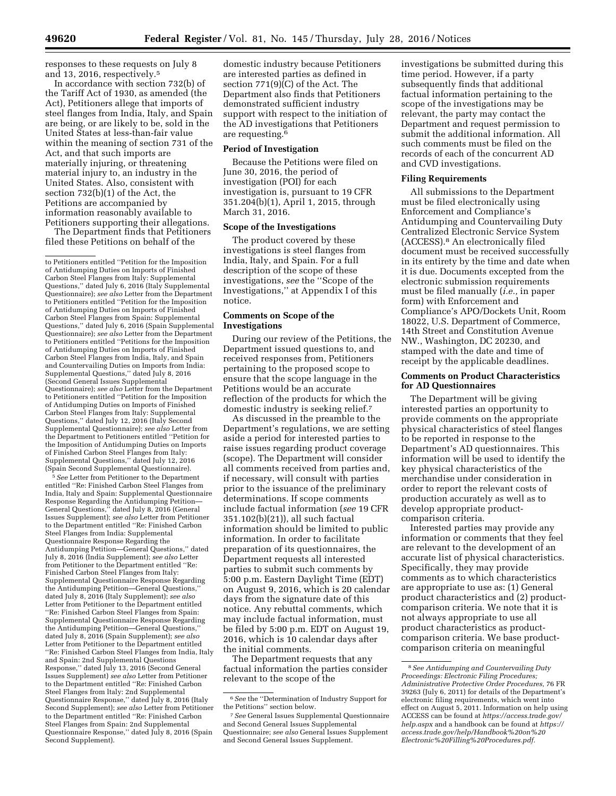responses to these requests on July 8 and 13, 2016, respectively.5

In accordance with section 732(b) of the Tariff Act of 1930, as amended (the Act), Petitioners allege that imports of steel flanges from India, Italy, and Spain are being, or are likely to be, sold in the United States at less-than-fair value within the meaning of section 731 of the Act, and that such imports are materially injuring, or threatening material injury to, an industry in the United States. Also, consistent with section 732(b)(1) of the Act, the Petitions are accompanied by information reasonably available to Petitioners supporting their allegations.

The Department finds that Petitioners filed these Petitions on behalf of the

5*See* Letter from Petitioner to the Department entitled ''Re: Finished Carbon Steel Flanges from India, Italy and Spain: Supplemental Questionnaire Response Regarding the Antidumping Petition— General Questions,'' dated July 8, 2016 (General Issues Supplement); *see also* Letter from Petitioner to the Department entitled ''Re: Finished Carbon Steel Flanges from India: Supplemental Questionnaire Response Regarding the Antidumping Petition—General Questions,'' dated July 8, 2016 (India Supplement); *see also* Letter from Petitioner to the Department entitled ''Re: Finished Carbon Steel Flanges from Italy: Supplemental Questionnaire Response Regarding the Antidumping Petition—General Questions,'' dated July 8, 2016 (Italy Supplement); *see also*  Letter from Petitioner to the Department entitled ''Re: Finished Carbon Steel Flanges from Spain: Supplemental Questionnaire Response Regarding the Antidumping Petition—General Questions,'' dated July 8, 2016 (Spain Supplement); *see also*  Letter from Petitioner to the Department entitled ''Re: Finished Carbon Steel Flanges from India, Italy and Spain: 2nd Supplemental Questions Response,'' dated July 13, 2016 (Second General Issues Supplement) *see also* Letter from Petitioner to the Department entitled ''Re: Finished Carbon Steel Flanges from ltaly: 2nd Supplemental Questionnaire Response," dated July 8, 2016 (Italy Second Supplement); *see also* Letter from Petitioner to the Department entitled ''Re: Finished Carbon Steel Flanges from Spain: 2nd Supplemental Questionnaire Response,'' dated July 8, 2016 (Spain Second Supplement).

domestic industry because Petitioners are interested parties as defined in section 771(9)(C) of the Act. The Department also finds that Petitioners demonstrated sufficient industry support with respect to the initiation of the AD investigations that Petitioners are requesting.6

# **Period of Investigation**

Because the Petitions were filed on June 30, 2016, the period of investigation (POI) for each investigation is, pursuant to 19 CFR 351.204(b)(1), April 1, 2015, through March 31, 2016.

#### **Scope of the Investigations**

The product covered by these investigations is steel flanges from India, Italy, and Spain. For a full description of the scope of these investigations, *see* the ''Scope of the Investigations,'' at Appendix I of this notice.

### **Comments on Scope of the Investigations**

During our review of the Petitions, the Department issued questions to, and received responses from, Petitioners pertaining to the proposed scope to ensure that the scope language in the Petitions would be an accurate reflection of the products for which the domestic industry is seeking relief.7

As discussed in the preamble to the Department's regulations, we are setting aside a period for interested parties to raise issues regarding product coverage (scope). The Department will consider all comments received from parties and, if necessary, will consult with parties prior to the issuance of the preliminary determinations. If scope comments include factual information (*see* 19 CFR 351.102(b)(21)), all such factual information should be limited to public information. In order to facilitate preparation of its questionnaires, the Department requests all interested parties to submit such comments by 5:00 p.m. Eastern Daylight Time (EDT) on August 9, 2016, which is 20 calendar days from the signature date of this notice. Any rebuttal comments, which may include factual information, must be filed by 5:00 p.m. EDT on August 19, 2016, which is 10 calendar days after the initial comments.

The Department requests that any factual information the parties consider relevant to the scope of the

investigations be submitted during this time period. However, if a party subsequently finds that additional factual information pertaining to the scope of the investigations may be relevant, the party may contact the Department and request permission to submit the additional information. All such comments must be filed on the records of each of the concurrent AD and CVD investigations.

#### **Filing Requirements**

All submissions to the Department must be filed electronically using Enforcement and Compliance's Antidumping and Countervailing Duty Centralized Electronic Service System (ACCESS).8 An electronically filed document must be received successfully in its entirety by the time and date when it is due. Documents excepted from the electronic submission requirements must be filed manually (*i.e.,* in paper form) with Enforcement and Compliance's APO/Dockets Unit, Room 18022, U.S. Department of Commerce, 14th Street and Constitution Avenue NW., Washington, DC 20230, and stamped with the date and time of receipt by the applicable deadlines.

## **Comments on Product Characteristics for AD Questionnaires**

The Department will be giving interested parties an opportunity to provide comments on the appropriate physical characteristics of steel flanges to be reported in response to the Department's AD questionnaires. This information will be used to identify the key physical characteristics of the merchandise under consideration in order to report the relevant costs of production accurately as well as to develop appropriate productcomparison criteria.

Interested parties may provide any information or comments that they feel are relevant to the development of an accurate list of physical characteristics. Specifically, they may provide comments as to which characteristics are appropriate to use as: (1) General product characteristics and (2) productcomparison criteria. We note that it is not always appropriate to use all product characteristics as productcomparison criteria. We base productcomparison criteria on meaningful

to Petitioners entitled ''Petition for the Imposition of Antidumping Duties on Imports of Finished Carbon Steel Flanges from Italy: Supplemental Questions,'' dated July 6, 2016 (Italy Supplemental Questionnaire); *see also* Letter from the Department to Petitioners entitled ''Petition for the Imposition of Antidumping Duties on Imports of Finished Carbon Steel Flanges from Spain: Supplemental Questions,'' dated July 6, 2016 (Spain Supplemental Questionnaire); *see also* Letter from the Department to Petitioners entitled ''Petitions for the Imposition of Antidumping Duties on Imports of Finished Carbon Steel Flanges from India, Italy, and Spain and Countervailing Duties on Imports from India: Supplemental Questions,'' dated July 8, 2016 (Second General Issues Supplemental Questionnaire); *see also* Letter from the Department to Petitioners entitled ''Petition for the Imposition of Antidumping Duties on Imports of Finished Carbon Steel Flanges from Italy: Supplemental Questions,'' dated July 12, 2016 (Italy Second Supplemental Questionnaire); *see also* Letter from the Department to Petitioners entitled ''Petition for the Imposition of Antidumping Duties on Imports of Finished Carbon Steel Flanges from Italy: Supplemental Questions,'' dated July 12, 2016 (Spain Second Supplemental Questionnaire).

<sup>6</sup>*See* the ''Determination of Industry Support for the Petitions'' section below.

<sup>7</sup>*See* General Issues Supplemental Questionnaire and Second General Issues Supplemental Questionnaire; *see also* General Issues Supplement and Second General Issues Supplement.

<sup>8</sup>*See Antidumping and Countervailing Duty Proceedings: Electronic Filing Procedures; Administrative Protective Order Procedures,* 76 FR 39263 (July 6, 2011) for details of the Department's electronic filing requirements, which went into effect on August 5, 2011. Information on help using ACCESS can be found at *[https://access.trade.gov/](https://access.trade.gov/help.aspx) [help.aspx](https://access.trade.gov/help.aspx)* and a handbook can be found at *[https://](https://access.trade.gov/help/Handbook%20on%20Electronic%20Filling%20Procedures.pdf)  [access.trade.gov/help/Handbook%20on%20](https://access.trade.gov/help/Handbook%20on%20Electronic%20Filling%20Procedures.pdf) [Electronic%20Filling%20Procedures.pdf.](https://access.trade.gov/help/Handbook%20on%20Electronic%20Filling%20Procedures.pdf)*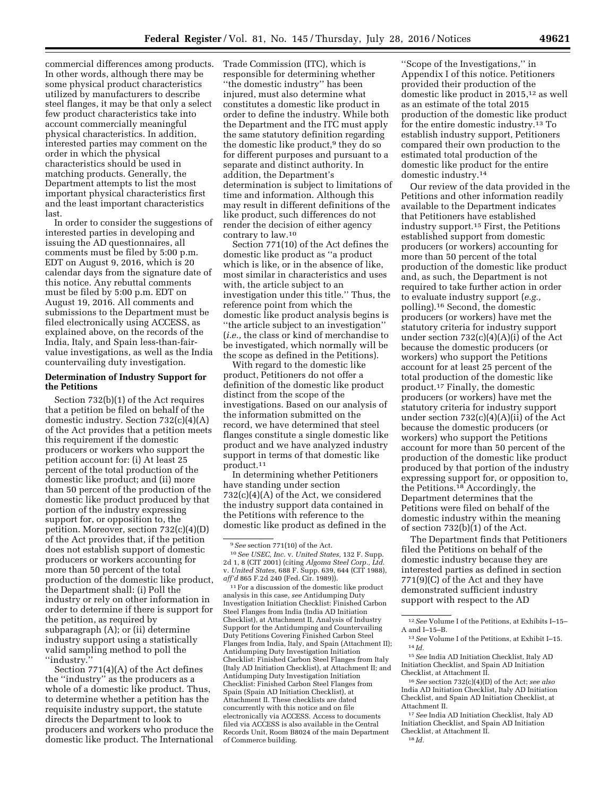commercial differences among products. In other words, although there may be some physical product characteristics utilized by manufacturers to describe steel flanges, it may be that only a select few product characteristics take into account commercially meaningful physical characteristics. In addition, interested parties may comment on the order in which the physical characteristics should be used in matching products. Generally, the Department attempts to list the most important physical characteristics first and the least important characteristics last.

In order to consider the suggestions of interested parties in developing and issuing the AD questionnaires, all comments must be filed by 5:00 p.m. EDT on August 9, 2016, which is 20 calendar days from the signature date of this notice. Any rebuttal comments must be filed by 5:00 p.m. EDT on August 19, 2016. All comments and submissions to the Department must be filed electronically using ACCESS, as explained above, on the records of the India, Italy, and Spain less-than-fairvalue investigations, as well as the India countervailing duty investigation.

## **Determination of Industry Support for the Petitions**

Section 732(b)(1) of the Act requires that a petition be filed on behalf of the domestic industry. Section 732(c)(4)(A) of the Act provides that a petition meets this requirement if the domestic producers or workers who support the petition account for: (i) At least 25 percent of the total production of the domestic like product; and (ii) more than 50 percent of the production of the domestic like product produced by that portion of the industry expressing support for, or opposition to, the petition. Moreover, section 732(c)(4)(D) of the Act provides that, if the petition does not establish support of domestic producers or workers accounting for more than 50 percent of the total production of the domestic like product, the Department shall: (i) Poll the industry or rely on other information in order to determine if there is support for the petition, as required by subparagraph (A); or (ii) determine industry support using a statistically valid sampling method to poll the ''industry.''

Section 771(4)(A) of the Act defines the ''industry'' as the producers as a whole of a domestic like product. Thus, to determine whether a petition has the requisite industry support, the statute directs the Department to look to producers and workers who produce the domestic like product. The International Trade Commission (ITC), which is responsible for determining whether ''the domestic industry'' has been injured, must also determine what constitutes a domestic like product in order to define the industry. While both the Department and the ITC must apply the same statutory definition regarding the domestic like product,<sup>9</sup> they do so for different purposes and pursuant to a separate and distinct authority. In addition, the Department's determination is subject to limitations of time and information. Although this may result in different definitions of the like product, such differences do not render the decision of either agency contrary to law.10

Section 771(10) of the Act defines the domestic like product as ''a product which is like, or in the absence of like, most similar in characteristics and uses with, the article subject to an investigation under this title." Thus, the reference point from which the domestic like product analysis begins is ''the article subject to an investigation'' (*i.e.,* the class or kind of merchandise to be investigated, which normally will be the scope as defined in the Petitions).

With regard to the domestic like product, Petitioners do not offer a definition of the domestic like product distinct from the scope of the investigations. Based on our analysis of the information submitted on the record, we have determined that steel flanges constitute a single domestic like product and we have analyzed industry support in terms of that domestic like product.11

In determining whether Petitioners have standing under section 732(c)(4)(A) of the Act, we considered the industry support data contained in the Petitions with reference to the domestic like product as defined in the

 $^{\rm 11}\mathrm{For}$  a discussion of the domestic like product analysis in this case, *see* Antidumping Duty Investigation Initiation Checklist: Finished Carbon Steel Flanges from India (India AD Initiation Checklist), at Attachment II, Analysis of Industry Support for the Antidumping and Countervailing Duty Petitions Covering Finished Carbon Steel Flanges from India, Italy, and Spain (Attachment II); Antidumping Duty Investigation Initiation Checklist: Finished Carbon Steel Flanges from Italy (Italy AD Initiation Checklist), at Attachment II; and Antidumping Duty Investigation Initiation Checklist: Finished Carbon Steel Flanges from Spain (Spain AD Initiation Checklist), at Attachment II. These checklists are dated concurrently with this notice and on file electronically via ACCESS. Access to documents filed via ACCESS is also available in the Central Records Unit, Room B8024 of the main Department of Commerce building.

''Scope of the Investigations,'' in Appendix I of this notice. Petitioners provided their production of the domestic like product in 2015,12 as well as an estimate of the total 2015 production of the domestic like product for the entire domestic industry.13 To establish industry support, Petitioners compared their own production to the estimated total production of the domestic like product for the entire domestic industry.14

Our review of the data provided in the Petitions and other information readily available to the Department indicates that Petitioners have established industry support.15 First, the Petitions established support from domestic producers (or workers) accounting for more than 50 percent of the total production of the domestic like product and, as such, the Department is not required to take further action in order to evaluate industry support (*e.g.,*  polling).16 Second, the domestic producers (or workers) have met the statutory criteria for industry support under section 732(c)(4)(A)(i) of the Act because the domestic producers (or workers) who support the Petitions account for at least 25 percent of the total production of the domestic like product.17 Finally, the domestic producers (or workers) have met the statutory criteria for industry support under section 732(c)(4)(A)(ii) of the Act because the domestic producers (or workers) who support the Petitions account for more than 50 percent of the production of the domestic like product produced by that portion of the industry expressing support for, or opposition to, the Petitions.18 Accordingly, the Department determines that the Petitions were filed on behalf of the domestic industry within the meaning of section 732(b)(1) of the Act.

The Department finds that Petitioners filed the Petitions on behalf of the domestic industry because they are interested parties as defined in section 771(9)(C) of the Act and they have demonstrated sufficient industry support with respect to the AD

12*See* Volume I of the Petitions, at Exhibits I–15– A and I–15–B.

15*See* India AD Initiation Checklist, Italy AD Initiation Checklist, and Spain AD Initiation Checklist, at Attachment II.

16*See* section 732(c)(4)(D) of the Act; *see also*  India AD Initiation Checklist, Italy AD Initiation Checklist, and Spain AD Initiation Checklist, at Attachment II.

17*See* India AD Initiation Checklist, Italy AD Initiation Checklist, and Spain AD Initiation Checklist, at Attachment II.

18 *Id.* 

<sup>9</sup>*See* section 771(10) of the Act. 10*See USEC, Inc.* v. *United States,* 132 F. Supp. 2d 1, 8 (CIT 2001) (citing *Algoma Steel Corp., Ltd.*  v. *United States,* 688 F. Supp. 639, 644 (CIT 1988), *aff'd* 865 F.2d 240 (Fed. Cir. 1989)).

<sup>13</sup>*See* Volume I of the Petitions, at Exhibit I–15. 14 *Id.*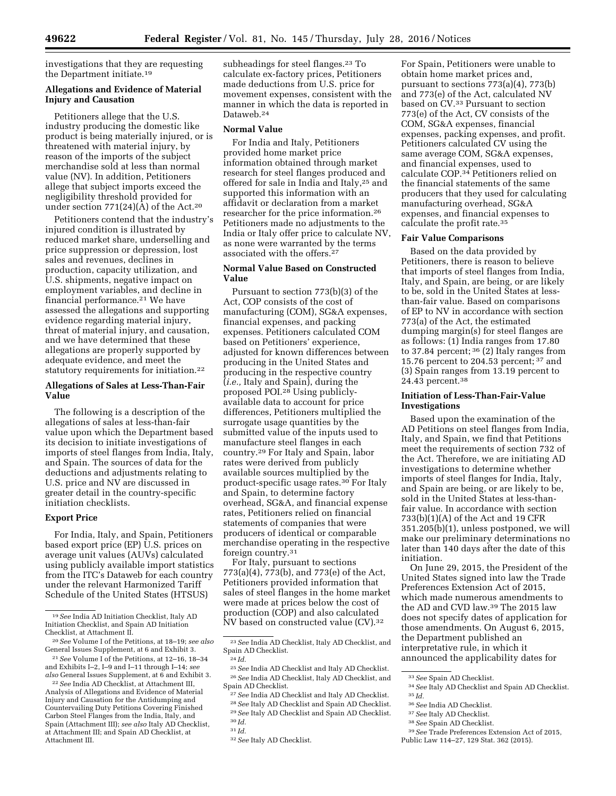investigations that they are requesting the Department initiate.19

# **Allegations and Evidence of Material Injury and Causation**

Petitioners allege that the U.S. industry producing the domestic like product is being materially injured, or is threatened with material injury, by reason of the imports of the subject merchandise sold at less than normal value (NV). In addition, Petitioners allege that subject imports exceed the negligibility threshold provided for under section 771(24)(A) of the Act.20

Petitioners contend that the industry's injured condition is illustrated by reduced market share, underselling and price suppression or depression, lost sales and revenues, declines in production, capacity utilization, and U.S. shipments, negative impact on employment variables, and decline in financial performance.21 We have assessed the allegations and supporting evidence regarding material injury, threat of material injury, and causation, and we have determined that these allegations are properly supported by adequate evidence, and meet the statutory requirements for initiation.22

# **Allegations of Sales at Less-Than-Fair Value**

The following is a description of the allegations of sales at less-than-fair value upon which the Department based its decision to initiate investigations of imports of steel flanges from India, Italy, and Spain. The sources of data for the deductions and adjustments relating to U.S. price and NV are discussed in greater detail in the country-specific initiation checklists.

# **Export Price**

For India, Italy, and Spain, Petitioners based export price (EP) U.S. prices on average unit values (AUVs) calculated using publicly available import statistics from the ITC's Dataweb for each country under the relevant Harmonized Tariff Schedule of the United States (HTSUS)

subheadings for steel flanges.<sup>23</sup> To calculate ex-factory prices, Petitioners made deductions from U.S. price for movement expenses, consistent with the manner in which the data is reported in Dataweb.24

#### **Normal Value**

For India and Italy, Petitioners provided home market price information obtained through market research for steel flanges produced and offered for sale in India and Italy,25 and supported this information with an affidavit or declaration from a market researcher for the price information.26 Petitioners made no adjustments to the India or Italy offer price to calculate NV, as none were warranted by the terms associated with the offers.<sup>27</sup>

# **Normal Value Based on Constructed Value**

Pursuant to section 773(b)(3) of the Act, COP consists of the cost of manufacturing (COM), SG&A expenses, financial expenses, and packing expenses. Petitioners calculated COM based on Petitioners' experience, adjusted for known differences between producing in the United States and producing in the respective country (*i.e.,* Italy and Spain), during the proposed POI.28 Using publiclyavailable data to account for price differences, Petitioners multiplied the surrogate usage quantities by the submitted value of the inputs used to manufacture steel flanges in each country.29 For Italy and Spain, labor rates were derived from publicly available sources multiplied by the product-specific usage rates.30 For Italy and Spain, to determine factory overhead, SG&A, and financial expense rates, Petitioners relied on financial statements of companies that were producers of identical or comparable merchandise operating in the respective foreign country.31

For Italy, pursuant to sections 773(a)(4), 773(b), and 773(e) of the Act, Petitioners provided information that sales of steel flanges in the home market were made at prices below the cost of production (COP) and also calculated NV based on constructed value (CV).32

For Spain, Petitioners were unable to obtain home market prices and, pursuant to sections 773(a)(4), 773(b) and 773(e) of the Act, calculated NV based on CV.33 Pursuant to section 773(e) of the Act, CV consists of the COM, SG&A expenses, financial expenses, packing expenses, and profit. Petitioners calculated CV using the same average COM, SG&A expenses, and financial expenses, used to calculate COP.34 Petitioners relied on the financial statements of the same producers that they used for calculating manufacturing overhead, SG&A expenses, and financial expenses to calculate the profit rate.35

### **Fair Value Comparisons**

Based on the data provided by Petitioners, there is reason to believe that imports of steel flanges from India, Italy, and Spain, are being, or are likely to be, sold in the United States at lessthan-fair value. Based on comparisons of EP to NV in accordance with section 773(a) of the Act, the estimated dumping margin(s) for steel flanges are as follows: (1) India ranges from 17.80 to 37.84 percent; 36 (2) Italy ranges from 15.76 percent to 204.53 percent; 37 and (3) Spain ranges from 13.19 percent to 24.43 percent.38

### **Initiation of Less-Than-Fair-Value Investigations**

Based upon the examination of the AD Petitions on steel flanges from India, Italy, and Spain, we find that Petitions meet the requirements of section 732 of the Act. Therefore, we are initiating AD investigations to determine whether imports of steel flanges for India, Italy, and Spain are being, or are likely to be, sold in the United States at less-thanfair value. In accordance with section 733(b)(1)(A) of the Act and 19 CFR 351.205(b)(1), unless postponed, we will make our preliminary determinations no later than 140 days after the date of this initiation.

On June 29, 2015, the President of the United States signed into law the Trade Preferences Extension Act of 2015, which made numerous amendments to the AD and CVD law.39 The 2015 law does not specify dates of application for those amendments. On August 6, 2015, the Department published an interpretative rule, in which it announced the applicability dates for

36*See* India AD Checklist. 37*See* Italy AD Checklist.

<sup>19</sup>*See* India AD Initiation Checklist, Italy AD Initiation Checklist, and Spain AD Initiation Checklist, at Attachment II.

<sup>20</sup>*See* Volume I of the Petitions, at 18–19; *see also*  General Issues Supplement, at 6 and Exhibit 3.

<sup>21</sup>*See* Volume I of the Petitions, at 12–16, 18–34 and Exhibits I–2, I–9 and I–11 through I–14; *see also* General Issues Supplement, at 6 and Exhibit 3.

<sup>22</sup>*See* India AD Checklist, at Attachment III, Analysis of Allegations and Evidence of Material Injury and Causation for the Antidumping and Countervailing Duty Petitions Covering Finished Carbon Steel Flanges from the India, Italy, and Spain (Attachment III); *see also* Italy AD Checklist, at Attachment III; and Spain AD Checklist, at Attachment III.

<sup>23</sup>*See* India AD Checklist, Italy AD Checklist, and Spain AD Checklist.

<sup>24</sup> *Id.* 

<sup>25</sup>*See* India AD Checklist and Italy AD Checklist. 26*See* India AD Checklist, Italy AD Checklist, and Spain AD Checklist.

<sup>27</sup>*See* India AD Checklist and Italy AD Checklist. 28*See* Italy AD Checklist and Spain AD Checklist. 29*See* Italy AD Checklist and Spain AD Checklist. 30 *Id.* 

<sup>31</sup> *Id.* 

<sup>32</sup>*See* Italy AD Checklist.

<sup>33</sup>*See* Spain AD Checklist.

<sup>34</sup>*See* Italy AD Checklist and Spain AD Checklist. 35 *Id.* 

<sup>38</sup>*See* Spain AD Checklist.

<sup>39</sup>*See* Trade Preferences Extension Act of 2015, Public Law 114–27, 129 Stat. 362 (2015).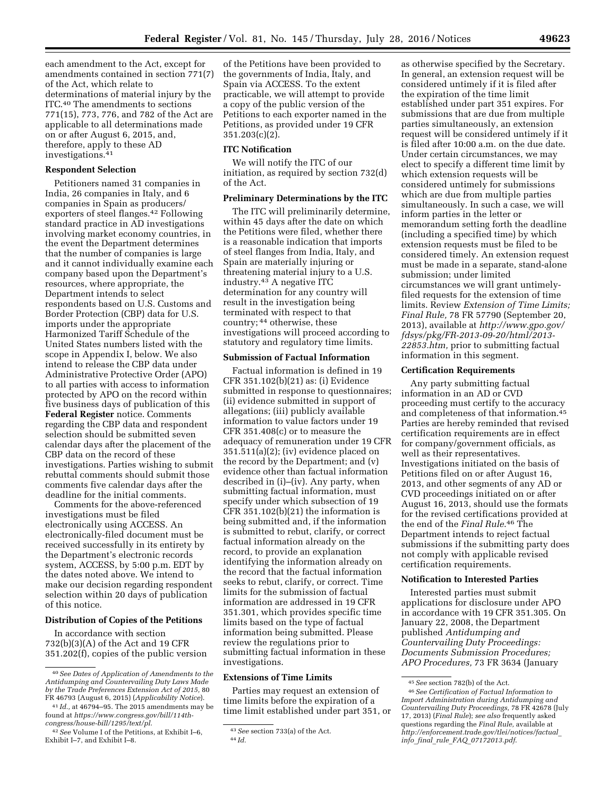each amendment to the Act, except for amendments contained in section 771(7) of the Act, which relate to determinations of material injury by the ITC.40 The amendments to sections 771(15), 773, 776, and 782 of the Act are applicable to all determinations made on or after August 6, 2015, and, therefore, apply to these AD investigations.41

### **Respondent Selection**

Petitioners named 31 companies in India, 26 companies in Italy, and 6 companies in Spain as producers/ exporters of steel flanges.42 Following standard practice in AD investigations involving market economy countries, in the event the Department determines that the number of companies is large and it cannot individually examine each company based upon the Department's resources, where appropriate, the Department intends to select respondents based on U.S. Customs and Border Protection (CBP) data for U.S. imports under the appropriate Harmonized Tariff Schedule of the United States numbers listed with the scope in Appendix I, below. We also intend to release the CBP data under Administrative Protective Order (APO) to all parties with access to information protected by APO on the record within five business days of publication of this **Federal Register** notice. Comments regarding the CBP data and respondent selection should be submitted seven calendar days after the placement of the CBP data on the record of these investigations. Parties wishing to submit rebuttal comments should submit those comments five calendar days after the deadline for the initial comments.

Comments for the above-referenced investigations must be filed electronically using ACCESS. An electronically-filed document must be received successfully in its entirety by the Department's electronic records system, ACCESS, by 5:00 p.m. EDT by the dates noted above. We intend to make our decision regarding respondent selection within 20 days of publication of this notice.

#### **Distribution of Copies of the Petitions**

In accordance with section 732(b)(3)(A) of the Act and 19 CFR 351.202(f), copies of the public version

of the Petitions have been provided to the governments of India, Italy, and Spain via ACCESS. To the extent practicable, we will attempt to provide a copy of the public version of the Petitions to each exporter named in the Petitions, as provided under 19 CFR 351.203(c)(2).

#### **ITC Notification**

We will notify the ITC of our initiation, as required by section 732(d) of the Act.

# **Preliminary Determinations by the ITC**

The ITC will preliminarily determine, within 45 days after the date on which the Petitions were filed, whether there is a reasonable indication that imports of steel flanges from India, Italy, and Spain are materially injuring or threatening material injury to a U.S. industry.43 A negative ITC determination for any country will result in the investigation being terminated with respect to that country; 44 otherwise, these investigations will proceed according to statutory and regulatory time limits.

## **Submission of Factual Information**

Factual information is defined in 19 CFR 351.102(b)(21) as: (i) Evidence submitted in response to questionnaires; (ii) evidence submitted in support of allegations; (iii) publicly available information to value factors under 19 CFR 351.408(c) or to measure the adequacy of remuneration under 19 CFR  $351.511(a)(2)$ ; (iv) evidence placed on the record by the Department; and (v) evidence other than factual information described in (i)–(iv). Any party, when submitting factual information, must specify under which subsection of 19 CFR 351.102(b)(21) the information is being submitted and, if the information is submitted to rebut, clarify, or correct factual information already on the record, to provide an explanation identifying the information already on the record that the factual information seeks to rebut, clarify, or correct. Time limits for the submission of factual information are addressed in 19 CFR 351.301, which provides specific time limits based on the type of factual information being submitted. Please review the regulations prior to submitting factual information in these investigations.

### **Extensions of Time Limits**

Parties may request an extension of time limits before the expiration of a time limit established under part 351, or

as otherwise specified by the Secretary. In general, an extension request will be considered untimely if it is filed after the expiration of the time limit established under part 351 expires. For submissions that are due from multiple parties simultaneously, an extension request will be considered untimely if it is filed after 10:00 a.m. on the due date. Under certain circumstances, we may elect to specify a different time limit by which extension requests will be considered untimely for submissions which are due from multiple parties simultaneously. In such a case, we will inform parties in the letter or memorandum setting forth the deadline (including a specified time) by which extension requests must be filed to be considered timely. An extension request must be made in a separate, stand-alone submission; under limited circumstances we will grant untimelyfiled requests for the extension of time limits. Review *Extension of Time Limits; Final Rule,* 78 FR 57790 (September 20, 2013), available at *[http://www.gpo.gov/](http://www.gpo.gov/fdsys/pkg/FR-2013-09-20/html/2013-22853.htm) [fdsys/pkg/FR-2013-09-20/html/2013-](http://www.gpo.gov/fdsys/pkg/FR-2013-09-20/html/2013-22853.htm)  [22853.htm,](http://www.gpo.gov/fdsys/pkg/FR-2013-09-20/html/2013-22853.htm)* prior to submitting factual information in this segment.

#### **Certification Requirements**

Any party submitting factual information in an AD or CVD proceeding must certify to the accuracy and completeness of that information.45 Parties are hereby reminded that revised certification requirements are in effect for company/government officials, as well as their representatives. Investigations initiated on the basis of Petitions filed on or after August 16, 2013, and other segments of any AD or CVD proceedings initiated on or after August 16, 2013, should use the formats for the revised certifications provided at the end of the *Final Rule*.46 The Department intends to reject factual submissions if the submitting party does not comply with applicable revised certification requirements.

# **Notification to Interested Parties**

Interested parties must submit applications for disclosure under APO in accordance with 19 CFR 351.305. On January 22, 2008, the Department published *Antidumping and Countervailing Duty Proceedings: Documents Submission Procedures; APO Procedures,* 73 FR 3634 (January

<sup>40</sup>*See Dates of Application of Amendments to the Antidumping and Countervailing Duty Laws Made by the Trade Preferences Extension Act of 2015,* 80 FR 46793 (August 6, 2015) (*Applicability Notice*).

<sup>41</sup> *Id.,* at 46794–95. The 2015 amendments may be found at *[https://www.congress.gov/bill/114th](https://www.congress.gov/bill/114th-congress/house-bill/1295/text/pl)[congress/house-bill/1295/text/pl](https://www.congress.gov/bill/114th-congress/house-bill/1295/text/pl)*.

<sup>42</sup>*See* Volume I of the Petitions, at Exhibit I–6, Exhibit I–7, and Exhibit I–8.

<sup>43</sup>*See* section 733(a) of the Act. 44 *Id.* 

<sup>45</sup>*See* section 782(b) of the Act.

<sup>46</sup>*See Certification of Factual Information to Import Administration during Antidumping and Countervailing Duty Proceedings,* 78 FR 42678 (July 17, 2013) (*Final Rule*); *see also* frequently asked questions regarding the *Final Rule,* available at *[http://enforcement.trade.gov/tlei/notices/factual](http://enforcement.trade.gov/tlei/notices/factual_info_final_rule_FAQ_07172013.pdf)*\_ *info*\_*final*\_*rule*\_*FAQ*\_*[07172013.pdf](http://enforcement.trade.gov/tlei/notices/factual_info_final_rule_FAQ_07172013.pdf)*.